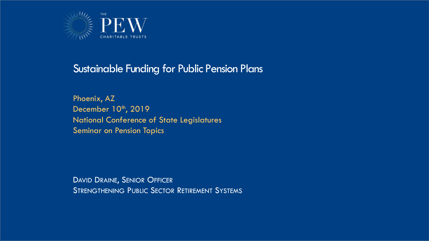

#### Sustainable Funding for Public Pension Plans

Phoenix, AZ December 10th, 2019 National Conference of State Legislatures Seminar on Pension Topics

DAVID DRAINE, SENIOR OFFICER STRENGTHENING PUBLIC SECTOR RETIREMENT SYSTEMS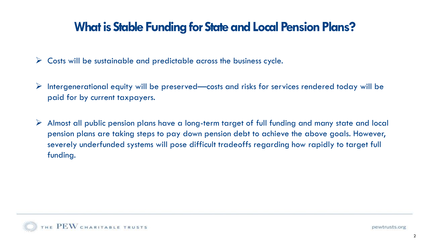### **What is Stable Funding for State and Local Pension Plans?**

- $\triangleright$  Costs will be sustainable and predictable across the business cycle.
- $\triangleright$  Intergenerational equity will be preserved—costs and risks for services rendered today will be paid for by current taxpayers.
- $\triangleright$  Almost all public pension plans have a long-term target of full funding and many state and local pension plans are taking steps to pay down pension debt to achieve the above goals. However, severely underfunded systems will pose difficult tradeoffs regarding how rapidly to target full funding.

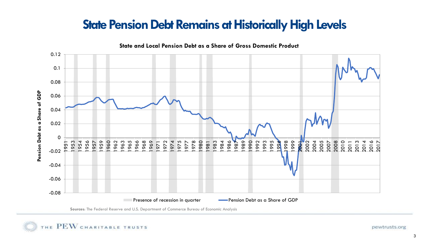## **State Pension Debt Remains at Historically High Levels**



**Sources**: The Federal Reserve and U.S. Department of Commerce Bureau of Economic Analysis

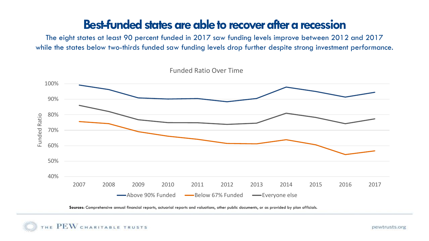#### **Best-funded states are able to recover after a recession**

The eight states at least 90 percent funded in 2017 saw funding levels improve between 2012 and 2017 while the states below two-thirds funded saw funding levels drop further despite strong investment performance.



**Sources**: Comprehensive annual financial reports, actuarial reports and valuations, other public documents, or as provided by plan officials.

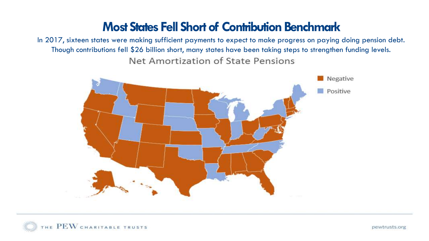### **Most States Fell Short of Contribution Benchmark**

In 2017, sixteen states were making sufficient payments to expect to make progress on paying doing pension debt. Though contributions fell \$26 billion short, many states have been taking steps to strengthen funding levels. Net Amortization of State Pensions



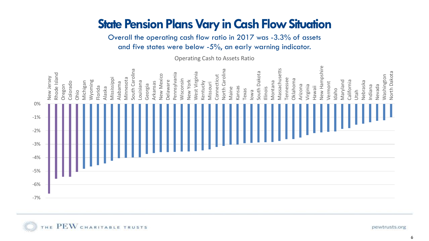## **State Pension Plans Vary in Cash Flow Situation**

Overall the operating cash flow ratio in 2017 was -3.3% of assets and five states were below -5%, an early warning indicator.

Operating Cash to Assets Ratio



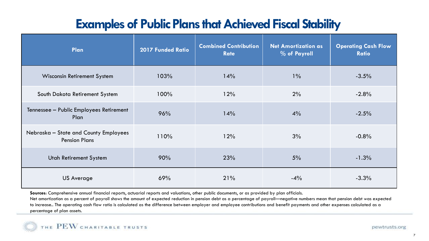# **Examples of Public Plans that Achieved Fiscal Stability**

| Plan                                                          | <b>2017 Funded Ratio</b> | <b>Combined Contribution</b><br><b>Rate</b> | <b>Net Amortization as</b><br>% of Payroll | <b>Operating Cash Flow</b><br><b>Ratio</b> |
|---------------------------------------------------------------|--------------------------|---------------------------------------------|--------------------------------------------|--------------------------------------------|
| Wisconsin Retirement System                                   | 103%                     | 14%                                         | $1\%$                                      | $-3.5%$                                    |
| South Dakota Retirement System                                | 100%                     | 12%                                         | 2%                                         | $-2.8%$                                    |
| Tennessee - Public Employees Retirement<br>Plan               | 96%                      | 14%                                         | $4\%$                                      | $-2.5%$                                    |
| Nebraska - State and County Employees<br><b>Pension Plans</b> | 110%                     | 12%                                         | 3%                                         | $-0.8%$                                    |
| <b>Utah Retirement System</b>                                 | 90%                      | 23%                                         | 5%                                         | $-1.3%$                                    |
| <b>US Average</b>                                             | 69%                      | 21%                                         | $-4\%$                                     | $-3.3%$                                    |

**Sources**: Comprehensive annual financial reports, actuarial reports and valuations, other public documents, or as provided by plan officials.

Net amortization as a percent of payroll shows the amount of expected reduction in pension debt as a percentage of payroll—negative numbers mean that pension debt was expected to increase.. The operating cash flow ratio is calculated as the difference between employer and employee contributions and benefit payments and other expenses calculated as a percentage of plan assets.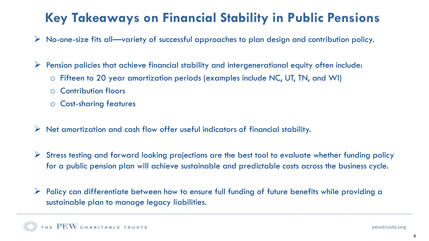# **Key Takeaways on Financial Stability in Public Pensions**

- $\triangleright$  No-one-size fits all—variety of successful approaches to plan design and contribution policy.
- $\triangleright$  Pension policies that achieve financial stability and intergenerational equity often include:
	- o Fifteen to 20 year amortization periods (examples include NC, UT, TN, and WI)
	- o Contribution floors
	- o Cost-sharing features
- $\triangleright$  Net amortization and cash flow offer useful indicators of financial stability.
- $\triangleright$  Stress testing and forward looking projections are the best tool to evaluate whether funding policy for a public pension plan will achieve sustainable and predictable costs across the business cycle.
- ➢ Policy can differentiate between how to ensure full funding of future benefits while providing a sustainable plan to manage legacy liabilities.